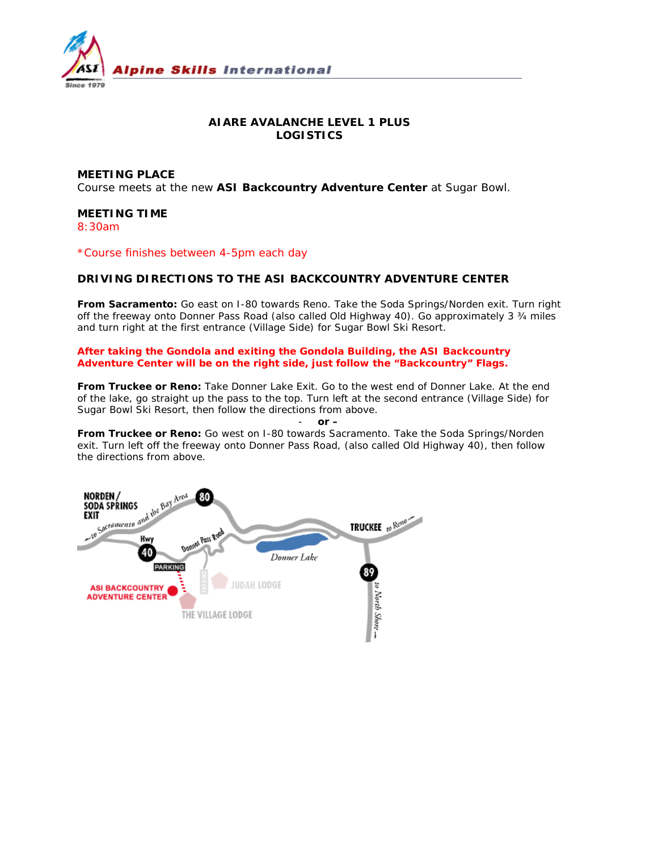

## **AIARE AVALANCHE LEVEL 1 PLUS LOGISTICS**

**MEETING PLACE** Course meets at the new **ASI Backcountry Adventure Center** at Sugar Bowl.

### **MEETING TIME**

8:30am

\*Course finishes between 4-5pm each day

### **DRIVING DIRECTIONS TO THE ASI BACKCOUNTRY ADVENTURE CENTER**

**From Sacramento:** Go east on I-80 towards Reno. Take the Soda Springs/Norden exit. Turn right off the freeway onto Donner Pass Road (also called Old Highway 40). Go approximately 3 ¾ miles and turn right at the first entrance (Village Side) for Sugar Bowl Ski Resort.

**After taking the Gondola and exiting the Gondola Building, the ASI Backcountry Adventure Center will be on the right side, just follow the "Backcountry" Flags.** 

**From Truckee or Reno:** Take Donner Lake Exit. Go to the west end of Donner Lake. At the end of the lake, go straight up the pass to the top. Turn left at the second entrance (Village Side) for Sugar Bowl Ski Resort, then follow the directions from above.

 $or -$ 

**From Truckee or Reno:** Go west on I-80 towards Sacramento. Take the Soda Springs/Norden exit. Turn left off the freeway onto Donner Pass Road, (also called Old Highway 40), then follow the directions from above.

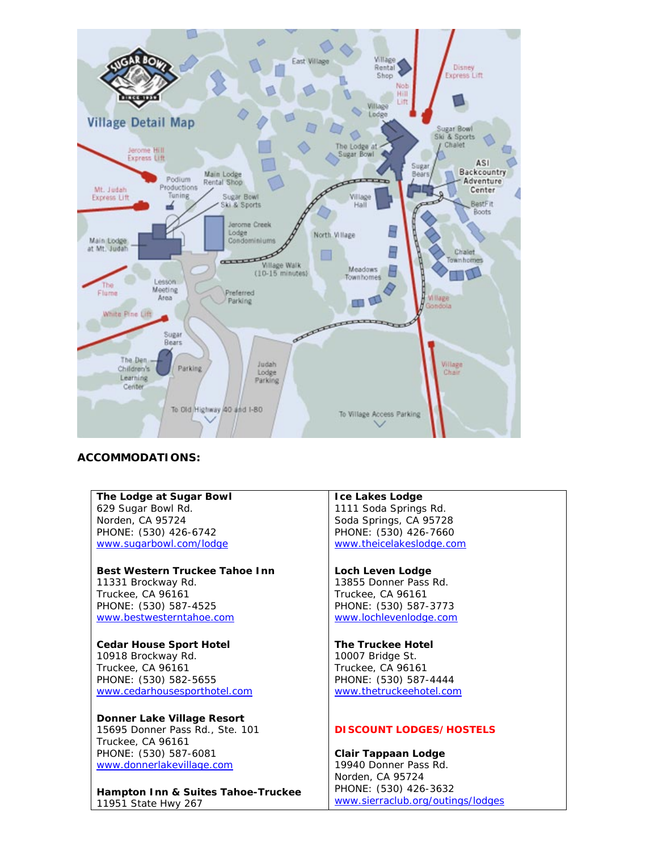

# **ACCOMMODATIONS:**

**The Lodge at Sugar Bowl** 629 Sugar Bowl Rd. Norden, CA 95724 PHONE: (530) 426-6742 www.sugarbowl.com/lodge

**Best Western Truckee Tahoe Inn** 11331 Brockway Rd. Truckee, CA 96161 PHONE: (530) 587-4525 www.bestwesterntahoe.com

**Cedar House Sport Hotel** 10918 Brockway Rd. Truckee, CA 96161 PHONE: (530) 582-5655 www.cedarhousesporthotel.com

**Donner Lake Village Resort** 15695 Donner Pass Rd., Ste. 101 Truckee, CA 96161 PHONE: (530) 587-6081 www.donnerlakevillage.com

**Hampton Inn & Suites Tahoe-Truckee** 11951 State Hwy 267

**Ice Lakes Lodge** 1111 Soda Springs Rd. Soda Springs, CA 95728 PHONE: (530) 426-7660 www.theicelakeslodge.com

**Loch Leven Lodge** 13855 Donner Pass Rd. Truckee, CA 96161 PHONE: (530) 587-3773 www.lochlevenlodge.com

**The Truckee Hotel** 10007 Bridge St. Truckee, CA 96161 PHONE: (530) 587-4444 www.thetruckeehotel.com

#### **DISCOUNT LODGES/HOSTELS**

**Clair Tappaan Lodge**  19940 Donner Pass Rd. Norden, CA 95724 PHONE: (530) 426-3632 www.sierraclub.org/outings/lodges